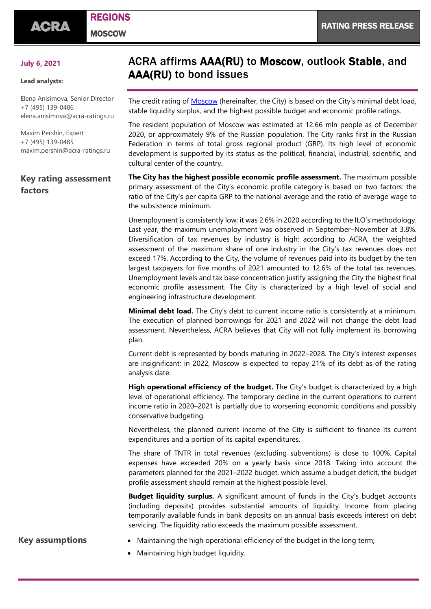# REGIONS

**MOSCOW** 

#### **July 6, 2021**

#### **Lead analysts:**

Elena Anisimova, Senior Director +7 (495) 139-0486 [elena.anisimova@acra-ratings.ru](mailto:elena.anisimova@acra-ratings.ru)

Maxim Pershin, Expert +7 (495) 139-0485 [maxim.pershin@acra-ratings.ru](mailto:maxim.pershin@acra-ratings.ru)

### **Key rating assessment factors**

## ACRA affirms AAA(RU) to Moscow, outlook Stable, and AAA(RU) to bond issues

The credit rating o[f Moscow](https://www.acra-ratings.com/ratings/issuers/74) (hereinafter, the City) is based on the City's minimal debt load, stable liquidity surplus, and the highest possible budget and economic profile ratings.

The resident population of Moscow was estimated at 12.66 mln people as of December 2020, or approximately 9% of the Russian population. The City ranks first in the Russian Federation in terms of total gross regional product (GRP). Its high level of economic development is supported by its status as the political, financial, industrial, scientific, and cultural center of the country.

**The City has the highest possible economic profile assessment.** The maximum possible primary assessment of the City's economic profile category is based on two factors: the ratio of the City's per capita GRP to the national average and the ratio of average wage to the subsistence minimum.

Unemployment is consistently low; it was 2.6% in 2020 according to the ILO's methodology. Last year, the maximum unemployment was observed in September–November at 3.8%. Diversification of tax revenues by industry is high: according to ACRA, the weighted assessment of the maximum share of one industry in the City's tax revenues does not exceed 17%. According to the City, the volume of revenues paid into its budget by the ten largest taxpayers for five months of 2021 amounted to 12.6% of the total tax revenues. Unemployment levels and tax base concentration justify assigning the City the highest final economic profile assessment. The City is characterized by a high level of social and engineering infrastructure development.

**Minimal debt load.** The City's debt to current income ratio is consistently at a minimum. The execution of planned borrowings for 2021 and 2022 will not change the debt load assessment. Nevertheless, ACRA believes that City will not fully implement its borrowing plan.

Current debt is represented by bonds maturing in 2022–2028. The City's interest expenses are insignificant; in 2022, Moscow is expected to repay 21% of its debt as of the rating analysis date.

**High operational efficiency of the budget.** The City's budget is characterized by a high level of operational efficiency. The temporary decline in the current operations to current income ratio in 2020–2021 is partially due to worsening economic conditions and possibly conservative budgeting.

Nevertheless, the planned current income of the City is sufficient to finance its current expenditures and a portion of its capital expenditures.

The share of TNTR in total revenues (excluding subventions) is close to 100%. Capital expenses have exceeded 20% on a yearly basis since 2018. Taking into account the parameters planned for the 2021–2022 budget, which assume a budget deficit, the budget profile assessment should remain at the highest possible level.

**Budget liquidity surplus.** A significant amount of funds in the City's budget accounts (including deposits) provides substantial amounts of liquidity. Income from placing temporarily available funds in bank deposits on an annual basis exceeds interest on debt servicing. The liquidity ratio exceeds the maximum possible assessment.

- **Key assumptions** Maintaining the high operational efficiency of the budget in the long term;
	- Maintaining high budget liquidity.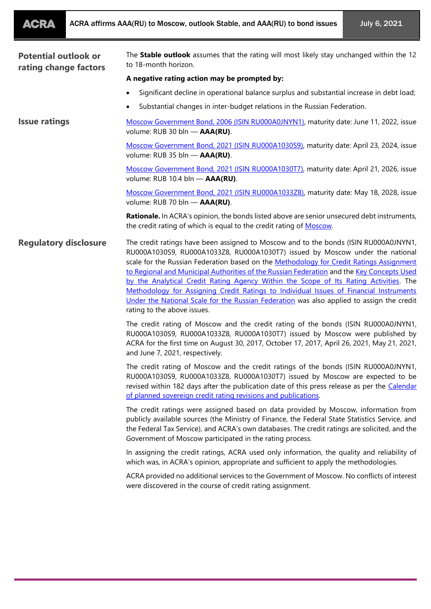| <b>ACRA</b> | ACRA affirms AAA(RU) to Moscow, outlook Stable, and AAA(RU) to bond issues |
|-------------|----------------------------------------------------------------------------|
|-------------|----------------------------------------------------------------------------|

| <b>Potential outlook or</b><br>rating change factors | The Stable outlook assumes that the rating will most likely stay unchanged within the 12<br>to 18-month horizon.                                                                                                                                                                                                                                                                                                                                                                                                                                                                                                                                                             |
|------------------------------------------------------|------------------------------------------------------------------------------------------------------------------------------------------------------------------------------------------------------------------------------------------------------------------------------------------------------------------------------------------------------------------------------------------------------------------------------------------------------------------------------------------------------------------------------------------------------------------------------------------------------------------------------------------------------------------------------|
|                                                      | A negative rating action may be prompted by:                                                                                                                                                                                                                                                                                                                                                                                                                                                                                                                                                                                                                                 |
|                                                      | Significant decline in operational balance surplus and substantial increase in debt load;                                                                                                                                                                                                                                                                                                                                                                                                                                                                                                                                                                                    |
|                                                      | Substantial changes in inter-budget relations in the Russian Federation.                                                                                                                                                                                                                                                                                                                                                                                                                                                                                                                                                                                                     |
| <b>Issue ratings</b>                                 | Moscow Government Bond, 2006 (ISIN RU000A0JNYN1), maturity date: June 11, 2022, issue<br>volume: RUB 30 bln - AAA(RU).                                                                                                                                                                                                                                                                                                                                                                                                                                                                                                                                                       |
|                                                      | Moscow Government Bond, 2021 (ISIN RU000A1030S9), maturity date: April 23, 2024, issue<br>volume: RUB 35 bln - AAA(RU).                                                                                                                                                                                                                                                                                                                                                                                                                                                                                                                                                      |
|                                                      | Moscow Government Bond, 2021 (ISIN RU000A1030T7), maturity date: April 21, 2026, issue<br>volume: RUB 10.4 bln - AAA(RU).                                                                                                                                                                                                                                                                                                                                                                                                                                                                                                                                                    |
|                                                      | Moscow Government Bond, 2021 (ISIN RU000A1033Z8), maturity date: May 18, 2028, issue<br>volume: RUB 70 bln - AAA(RU).                                                                                                                                                                                                                                                                                                                                                                                                                                                                                                                                                        |
|                                                      | Rationale. In ACRA's opinion, the bonds listed above are senior unsecured debt instruments,<br>the credit rating of which is equal to the credit rating of Moscow.                                                                                                                                                                                                                                                                                                                                                                                                                                                                                                           |
| <b>Regulatory disclosure</b>                         | The credit ratings have been assigned to Moscow and to the bonds (ISIN RU000A0JNYN1,<br>RU000A1030S9, RU000A1033Z8, RU000A1030T7) issued by Moscow under the national<br>scale for the Russian Federation based on the Methodology for Credit Ratings Assignment<br>to Regional and Municipal Authorities of the Russian Federation and the Key Concepts Used<br>by the Analytical Credit Rating Agency Within the Scope of Its Rating Activities. The<br>Methodology for Assigning Credit Ratings to Individual Issues of Financial Instruments<br>Under the National Scale for the Russian Federation was also applied to assign the credit<br>rating to the above issues. |
|                                                      | The credit rating of Moscow and the credit rating of the bonds (ISIN RU000A0JNYN1,<br>RU000A1030S9, RU000A1033Z8, RU000A1030T7) issued by Moscow were published by<br>ACRA for the first time on August 30, 2017, October 17, 2017, April 26, 2021, May 21, 2021,<br>and June 7, 2021, respectively.                                                                                                                                                                                                                                                                                                                                                                         |
|                                                      | The credit rating of Moscow and the credit ratings of the bonds (ISIN RU000A0JNYN1,<br>RU000A1030S9, RU000A1033Z8, RU000A1030T7) issued by Moscow are expected to be<br>revised within 182 days after the publication date of this press release as per the <i>Calendar</i><br>of planned sovereign credit rating revisions and publications.                                                                                                                                                                                                                                                                                                                                |
|                                                      | The credit ratings were assigned based on data provided by Moscow, information from<br>publicly available sources (the Ministry of Finance, the Federal State Statistics Service, and<br>the Federal Tax Service), and ACRA's own databases. The credit ratings are solicited, and the<br>Government of Moscow participated in the rating process.                                                                                                                                                                                                                                                                                                                           |
|                                                      | In assigning the credit ratings, ACRA used only information, the quality and reliability of<br>which was, in ACRA's opinion, appropriate and sufficient to apply the methodologies.                                                                                                                                                                                                                                                                                                                                                                                                                                                                                          |
|                                                      | ACRA provided no additional services to the Government of Moscow. No conflicts of interest<br>were discovered in the course of credit rating assignment.                                                                                                                                                                                                                                                                                                                                                                                                                                                                                                                     |
|                                                      |                                                                                                                                                                                                                                                                                                                                                                                                                                                                                                                                                                                                                                                                              |